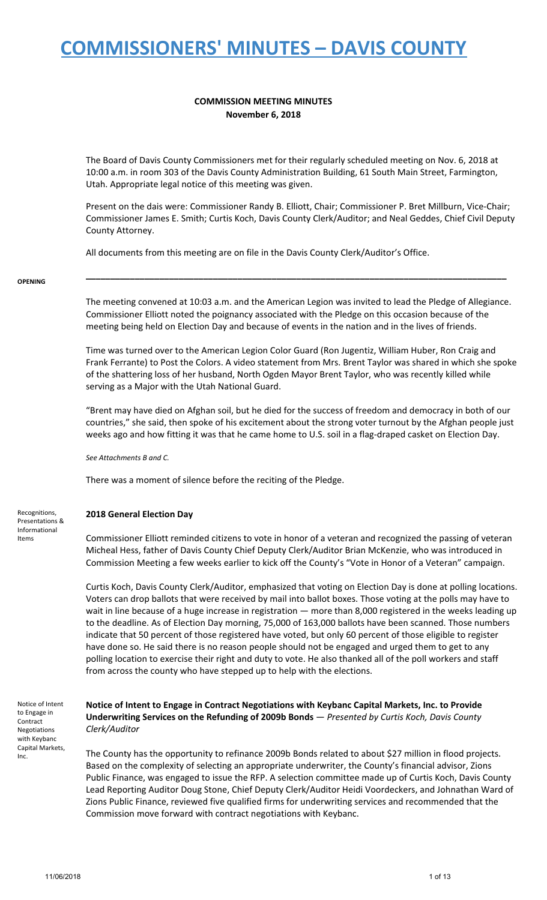**COMMISSION MEETING MINUTES November 6, 2018**

The Board of Davis County Commissioners met for their regularly scheduled meeting on Nov. 6, 2018 at 10:00 a.m. in room 303 of the Davis County Administration Building, 61 South Main Street, Farmington, Utah. Appropriate legal notice of this meeting was given.

Present on the dais were: Commissioner Randy B. Elliott, Chair; Commissioner P. Bret Millburn, Vice-Chair; Commissioner James E. Smith; Curtis Koch, Davis County Clerk/Auditor; and Neal Geddes, Chief Civil Deputy County Attorney.

All documents from this meeting are on file in the Davis County Clerk/Auditor's Office.

#### **OPENING**

The meeting convened at 10:03 a.m. and the American Legion was invited to lead the Pledge of Allegiance. Commissioner Elliott noted the poignancy associated with the Pledge on this occasion because of the meeting being held on Election Day and because of events in the nation and in the lives of friends.

**\_\_\_\_\_\_\_\_\_\_\_\_\_\_\_\_\_\_\_\_\_\_\_\_\_\_\_\_\_\_\_\_\_\_\_\_\_\_\_\_\_\_\_\_\_\_\_\_\_\_\_\_\_\_\_\_\_\_\_\_\_\_\_\_\_\_\_\_\_\_\_\_\_\_\_\_\_\_\_\_\_\_\_\_\_\_**

Time was turned over to the American Legion Color Guard (Ron Jugentiz, William Huber, Ron Craig and Frank Ferrante) to Post the Colors. A video statement from Mrs. Brent Taylor was shared in which she spoke of the shattering loss of her husband, North Ogden Mayor Brent Taylor, who was recently killed while serving as a Major with the Utah National Guard.

"Brent may have died on Afghan soil, but he died for the success of freedom and democracy in both of our countries," she said, then spoke of his excitement about the strong voter turnout by the Afghan people just weeks ago and how fitting it was that he came home to U.S. soil in a flag-draped casket on Election Day.

*See Attachments B and C.*

There was a moment of silence before the reciting of the Pledge.

### **2018 General Election Day**

Commissioner Elliott reminded citizens to vote in honor of a veteran and recognized the passing of veteran Micheal Hess, father of Davis County Chief Deputy Clerk/Auditor Brian McKenzie, who was introduced in Commission Meeting a few weeks earlier to kick off the County's "Vote in Honor of a Veteran" campaign.

Curtis Koch, Davis County Clerk/Auditor, emphasized that voting on Election Day is done at polling locations. Voters can drop ballots that were received by mail into ballot boxes. Those voting at the polls may have to wait in line because of a huge increase in registration — more than 8,000 registered in the weeks leading up to the deadline. As of Election Day morning, 75,000 of 163,000 ballots have been scanned. Those numbers indicate that 50 percent of those registered have voted, but only 60 percent of those eligible to register have done so. He said there is no reason people should not be engaged and urged them to get to any polling location to exercise their right and duty to vote. He also thanked all of the poll workers and staff from across the county who have stepped up to help with the elections.

Notice of Intent to Engage in Contract Negotiations with Keybanc Capital Markets, Inc.

**Notice of Intent to Engage in Contract Negotiations with Keybanc Capital Markets, Inc. to Provide Underwriting Services on the Refunding of 2009b Bonds** — *Presented by Curtis Koch, Davis County Clerk/Auditor*

The County has the opportunity to refinance 2009b Bonds related to about \$27 million in flood projects. Based on the complexity of selecting an appropriate underwriter, the County's financial advisor, Zions Public Finance, was engaged to issue the RFP. A selection committee made up of Curtis Koch, Davis County Lead Reporting Auditor Doug Stone, Chief Deputy Clerk/Auditor Heidi Voordeckers, and Johnathan Ward of Zions Public Finance, reviewed five qualified firms for underwriting services and recommended that the Commission move forward with contract negotiations with Keybanc.

Recognitions, Presentations & Informational Items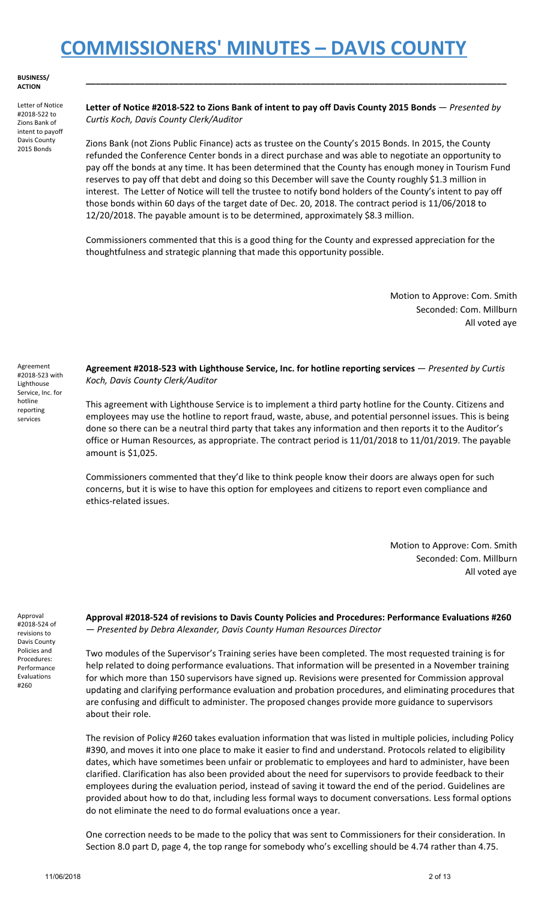**BUSINESS/ ACTION**

Letter of Notice #2018-522 to Zions Bank of intent to payoff Davis County 2015 Bonds

Letter of Notice #2018-522 to Zions Bank of intent to pay off Davis County 2015 Bonds - Presented by *Curtis Koch, Davis County Clerk/Auditor*

**\_\_\_\_\_\_\_\_\_\_\_\_\_\_\_\_\_\_\_\_\_\_\_\_\_\_\_\_\_\_\_\_\_\_\_\_\_\_\_\_\_\_\_\_\_\_\_\_\_\_\_\_\_\_\_\_\_\_\_\_\_\_\_\_\_\_\_\_\_\_\_\_\_\_\_\_\_\_\_\_\_\_\_\_\_\_**

Zions Bank (not Zions Public Finance) acts as trustee on the County's 2015 Bonds. In 2015, the County refunded the Conference Center bonds in a direct purchase and was able to negotiate an opportunity to pay off the bonds at any time. It has been determined that the County has enough money in Tourism Fund reserves to pay off that debt and doing so this December will save the County roughly \$1.3 million in interest. The Letter of Notice will tell the trustee to notify bond holders of the County's intent to pay off those bonds within 60 days of the target date of Dec. 20, 2018. The contract period is 11/06/2018 to 12/20/2018. The payable amount is to be determined, approximately \$8.3 million.

Commissioners commented that this is a good thing for the County and expressed appreciation for the thoughtfulness and strategic planning that made this opportunity possible.

> Motion to Approve: Com. Smith Seconded: Com. Millburn All voted aye

Agreement #2018-523 with Lighthouse Service, Inc. for hotline reporting services

**Agreement #2018-523 with Lighthouse Service, Inc. for hotline reporting services** — *Presented by Curtis Koch, Davis County Clerk/Auditor*

This agreement with Lighthouse Service is to implement a third party hotline for the County. Citizens and employees may use the hotline to report fraud, waste, abuse, and potential personnel issues. This is being done so there can be a neutral third party that takes any information and then reports it to the Auditor's office or Human Resources, as appropriate. The contract period is 11/01/2018 to 11/01/2019. The payable amount is \$1,025.

Commissioners commented that they'd like to think people know their doors are always open for such concerns, but it is wise to have this option for employees and citizens to report even compliance and ethics-related issues.

> Motion to Approve: Com. Smith Seconded: Com. Millburn All voted aye

Approval #2018-524 of revisions to Davis County Policies and Procedures: Performance Evaluations #260

**Approval #2018-524 of revisions to Davis County Policies and Procedures: Performance Evaluations #260** — *Presented by Debra Alexander, Davis County Human Resources Director*

Two modules of the Supervisor's Training series have been completed. The most requested training is for help related to doing performance evaluations. That information will be presented in a November training for which more than 150 supervisors have signed up. Revisions were presented for Commission approval updating and clarifying performance evaluation and probation procedures, and eliminating procedures that are confusing and difficult to administer. The proposed changes provide more guidance to supervisors about their role.

The revision of Policy #260 takes evaluation information that was listed in multiple policies, including Policy #390, and moves it into one place to make it easier to find and understand. Protocols related to eligibility dates, which have sometimes been unfair or problematic to employees and hard to administer, have been clarified. Clarification has also been provided about the need for supervisors to provide feedback to their employees during the evaluation period, instead of saving it toward the end of the period. Guidelines are provided about how to do that, including less formal ways to document conversations. Less formal options do not eliminate the need to do formal evaluations once a year.

One correction needs to be made to the policy that was sent to Commissioners for their consideration. In Section 8.0 part D, page 4, the top range for somebody who's excelling should be 4.74 rather than 4.75.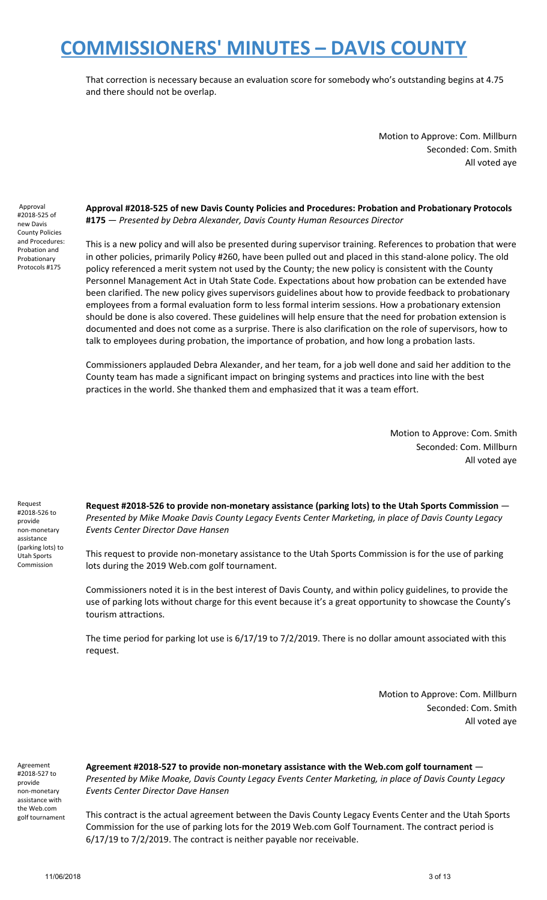That correction is necessary because an evaluation score for somebody who's outstanding begins at 4.75 and there should not be overlap.

> Motion to Approve: Com. Millburn Seconded: Com. Smith All voted aye

Approval #2018-525 of new Davis County Policies and Procedures: Probation and Probationary Protocols #175

**Approval #2018-525 of new Davis County Policies and Procedures: Probation and Probationary Protocols #175** — *Presented by Debra Alexander, Davis County Human Resources Director*

This is a new policy and will also be presented during supervisor training. References to probation that were in other policies, primarily Policy #260, have been pulled out and placed in this stand-alone policy. The old policy referenced a merit system not used by the County; the new policy is consistent with the County Personnel Management Act in Utah State Code. Expectations about how probation can be extended have been clarified. The new policy gives supervisors guidelines about how to provide feedback to probationary employees from a formal evaluation form to less formal interim sessions. How a probationary extension should be done is also covered. These guidelines will help ensure that the need for probation extension is documented and does not come as a surprise. There is also clarification on the role of supervisors, how to talk to employees during probation, the importance of probation, and how long a probation lasts.

Commissioners applauded Debra Alexander, and her team, for a job well done and said her addition to the County team has made a significant impact on bringing systems and practices into line with the best practices in the world. She thanked them and emphasized that it was a team effort.

> Motion to Approve: Com. Smith Seconded: Com. Millburn All voted aye

Request #2018-526 to provide non-monetary assistance (parking lots) to Utah Sports Commission

**Request #2018-526 to provide non-monetary assistance (parking lots) to the Utah Sports Commission** — *Presented by Mike Moake Davis County Legacy Events Center Marketing, in place of Davis County Legacy Events Center Director Dave Hansen*

This request to provide non-monetary assistance to the Utah Sports Commission is for the use of parking lots during the 2019 Web.com golf tournament.

Commissioners noted it is in the best interest of Davis County, and within policy guidelines, to provide the use of parking lots without charge for this event because it's a great opportunity to showcase the County's tourism attractions.

The time period for parking lot use is 6/17/19 to 7/2/2019. There is no dollar amount associated with this request.

> Motion to Approve: Com. Millburn Seconded: Com. Smith All voted aye

Agreement #2018-527 to provide non-monetary assistance with the Web.com golf tournament **Agreement #2018-527 to provide non-monetary assistance with the Web.com golf tournament** — *Presented by Mike Moake, Davis County Legacy Events Center Marketing, in place of Davis County Legacy Events Center Director Dave Hansen*

This contract is the actual agreement between the Davis County Legacy Events Center and the Utah Sports Commission for the use of parking lots for the 2019 Web.com Golf Tournament. The contract period is 6/17/19 to 7/2/2019. The contract is neither payable nor receivable.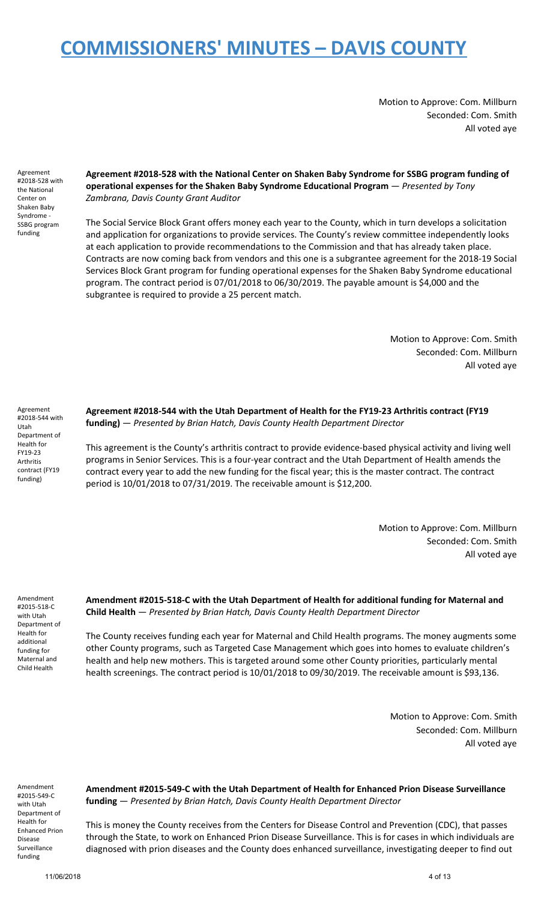Motion to Approve: Com. Millburn Seconded: Com. Smith All voted aye

Agreement #2018-528 with the National Center on Shaken Baby Syndrome - SSBG program funding

### **Agreement #2018-528 with the National Center on Shaken Baby Syndrome for SSBG program funding of operational expenses for the Shaken Baby Syndrome Educational Program** — *Presented by Tony Zambrana, Davis County Grant Auditor*

The Social Service Block Grant offers money each year to the County, which in turn develops a solicitation and application for organizations to provide services. The County's review committee independently looks at each application to provide recommendations to the Commission and that has already taken place. Contracts are now coming back from vendors and this one is a subgrantee agreement for the 2018-19 Social Services Block Grant program for funding operational expenses for the Shaken Baby Syndrome educational program. The contract period is 07/01/2018 to 06/30/2019. The payable amount is \$4,000 and the subgrantee is required to provide a 25 percent match.

> Motion to Approve: Com. Smith Seconded: Com. Millburn All voted aye

Agreement #2018-544 with Utah Department of Health for FY19-23 Arthritis contract (FY19 funding)

**Agreement #2018-544 with the Utah Department of Health for the FY19-23 Arthritis contract (FY19 funding)** — *Presented by Brian Hatch, Davis County Health Department Director*

This agreement is the County's arthritis contract to provide evidence-based physical activity and living well programs in Senior Services. This is a four-year contract and the Utah Department of Health amends the contract every year to add the new funding for the fiscal year; this is the master contract. The contract period is 10/01/2018 to 07/31/2019. The receivable amount is \$12,200.

> Motion to Approve: Com. Millburn Seconded: Com. Smith All voted aye

Amendment #2015-518-C with Utah Department of Health for additional funding for Maternal and Child Health

**Amendment #2015-518-C with the Utah Department of Health for additional funding for Maternal and Child Health** — *Presented by Brian Hatch, Davis County Health Department Director*

The County receives funding each year for Maternal and Child Health programs. The money augments some other County programs, such as Targeted Case Management which goes into homes to evaluate children's health and help new mothers. This is targeted around some other County priorities, particularly mental health screenings. The contract period is 10/01/2018 to 09/30/2019. The receivable amount is \$93,136.

> Motion to Approve: Com. Smith Seconded: Com. Millburn All voted aye

Amendment #2015-549-C with Utah Department of Health for Enhanced Prion Disease Surveillance funding

**Amendment #2015-549-C with the Utah Department of Health for Enhanced Prion Disease Surveillance funding** — *Presented by Brian Hatch, Davis County Health Department Director*

This is money the County receives from the Centers for Disease Control and Prevention (CDC), that passes through the State, to work on Enhanced Prion Disease Surveillance. This is for cases in which individuals are diagnosed with prion diseases and the County does enhanced surveillance, investigating deeper to find out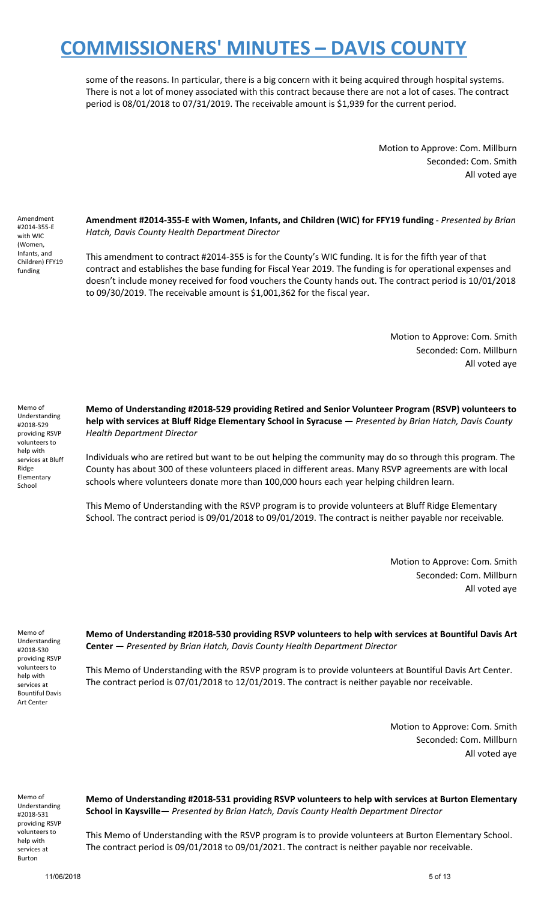some of the reasons. In particular, there is a big concern with it being acquired through hospital systems. There is not a lot of money associated with this contract because there are not a lot of cases. The contract period is 08/01/2018 to 07/31/2019. The receivable amount is \$1,939 for the current period.

> Motion to Approve: Com. Millburn Seconded: Com. Smith All voted aye

Amendment #2014-355-E with WIC (Women, Infants, and Children) FFY19 funding

**Amendment #2014-355-E with Women, Infants, and Children (WIC) for FFY19 funding** - *Presented by Brian Hatch, Davis County Health Department Director*

This amendment to contract #2014-355 is for the County's WIC funding. It is for the fifth year of that contract and establishes the base funding for Fiscal Year 2019. The funding is for operational expenses and doesn't include money received for food vouchers the County hands out. The contract period is 10/01/2018 to 09/30/2019. The receivable amount is \$1,001,362 for the fiscal year.

> Motion to Approve: Com. Smith Seconded: Com. Millburn All voted aye

Memo of Understanding #2018-529 providing RSVP volunteers to help with services at Bluff Ridge Elementary School

**Memo of Understanding #2018-529 providing Retired and Senior Volunteer Program (RSVP) volunteers to help with services at Bluff Ridge Elementary School in Syracuse** — *Presented by Brian Hatch, Davis County Health Department Director*

Individuals who are retired but want to be out helping the community may do so through this program. The County has about 300 of these volunteers placed in different areas. Many RSVP agreements are with local schools where volunteers donate more than 100,000 hours each year helping children learn.

This Memo of Understanding with the RSVP program is to provide volunteers at Bluff Ridge Elementary School. The contract period is 09/01/2018 to 09/01/2019. The contract is neither payable nor receivable.

> Motion to Approve: Com. Smith Seconded: Com. Millburn All voted aye

Memo of Understanding #2018-530 providing RSVP volunteers to help with services at Bountiful Davis Art Center

**Memo of Understanding #2018-530 providing RSVP volunteers to help with services at Bountiful Davis Art Center** — *Presented by Brian Hatch, Davis County Health Department Director*

This Memo of Understanding with the RSVP program is to provide volunteers at Bountiful Davis Art Center. The contract period is 07/01/2018 to 12/01/2019. The contract is neither payable nor receivable.

> Motion to Approve: Com. Smith Seconded: Com. Millburn All voted aye

Memo of Understanding #2018-531 providing RSVP volunteers to help with services at Burton

**Memo of Understanding #2018-531 providing RSVP volunteers to help with services at Burton Elementary School in Kaysville**— *Presented by Brian Hatch, Davis County Health Department Director*

This Memo of Understanding with the RSVP program is to provide volunteers at Burton Elementary School. The contract period is 09/01/2018 to 09/01/2021. The contract is neither payable nor receivable.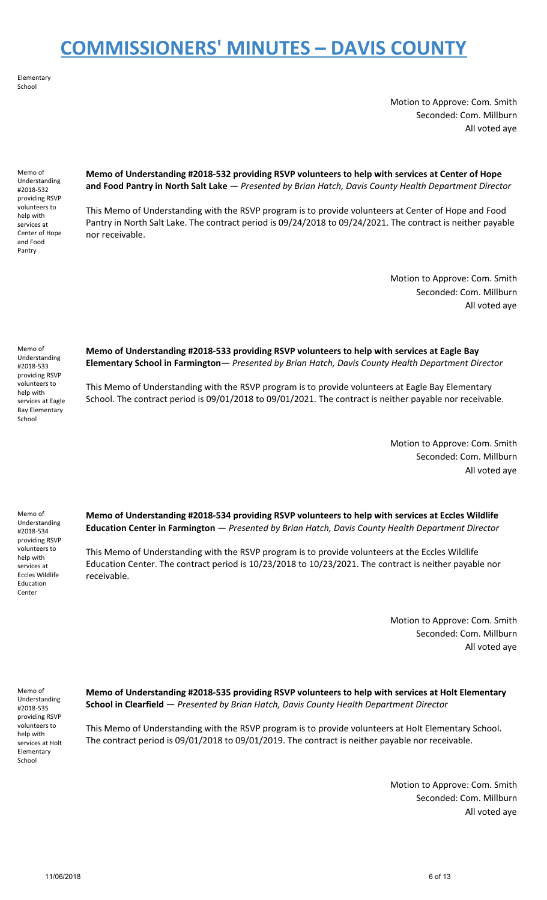Elementary School

> Motion to Approve: Com. Smith Seconded: Com. Millburn All voted aye

Memo of Understanding #2018-532 providing RSVP volunteers to help with services at Center of Hope and Food Pantry

**Memo of Understanding #2018-532 providing RSVP volunteers to help with services at Center of Hope and Food Pantry in North Salt Lake** — *Presented by Brian Hatch, Davis County Health Department Director*

This Memo of Understanding with the RSVP program is to provide volunteers at Center of Hope and Food Pantry in North Salt Lake. The contract period is 09/24/2018 to 09/24/2021. The contract is neither payable nor receivable.

> Motion to Approve: Com. Smith Seconded: Com. Millburn All voted aye

Memo of Understanding #2018-533 providing RSVP volunteers to help with services at Eagle Bay Elementary School

**Memo of Understanding #2018-533 providing RSVP volunteers to help with services at Eagle Bay Elementary School in Farmington**— *Presented by Brian Hatch, Davis County Health Department Director*

This Memo of Understanding with the RSVP program is to provide volunteers at Eagle Bay Elementary School. The contract period is 09/01/2018 to 09/01/2021. The contract is neither payable nor receivable.

> Motion to Approve: Com. Smith Seconded: Com. Millburn All voted aye

Memo of Understanding #2018-534 providing RSVP volunteers to help with services at Eccles Wildlife Education Center

**Memo of Understanding #2018-534 providing RSVP volunteers to help with services at Eccles Wildlife Education Center in Farmington** — *Presented by Brian Hatch, Davis County Health Department Director*

This Memo of Understanding with the RSVP program is to provide volunteers at the Eccles Wildlife Education Center. The contract period is 10/23/2018 to 10/23/2021. The contract is neither payable nor receivable.

> Motion to Approve: Com. Smith Seconded: Com. Millburn All voted aye

Memo of Understanding #2018-535 providing RSVP volunteers to help with services at Holt Elementary School

**Memo of Understanding #2018-535 providing RSVP volunteers to help with services at Holt Elementary School in Clearfield** — *Presented by Brian Hatch, Davis County Health Department Director*

This Memo of Understanding with the RSVP program is to provide volunteers at Holt Elementary School. The contract period is 09/01/2018 to 09/01/2019. The contract is neither payable nor receivable.

> Motion to Approve: Com. Smith Seconded: Com. Millburn All voted aye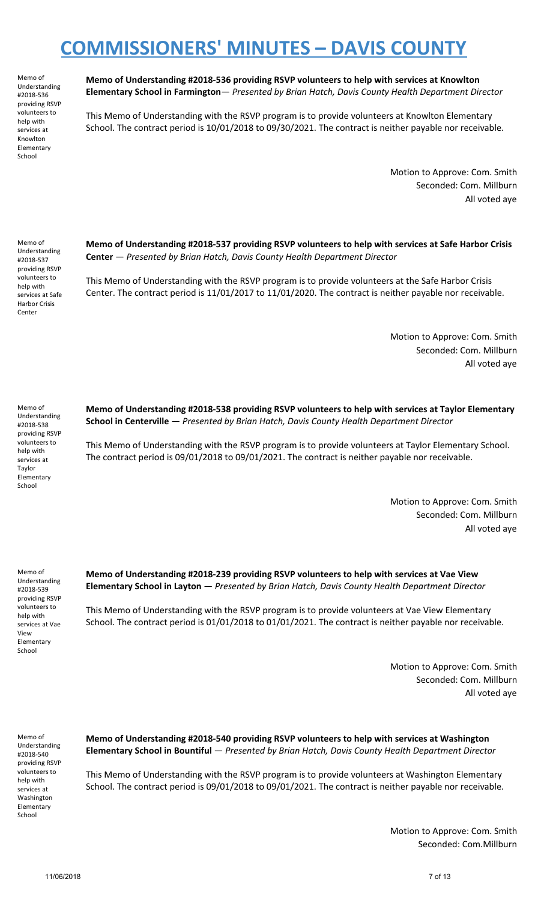Memo of Understanding #2018-536 providing RSVP volunteers to help with services at Knowlton Elementary School

**Memo of Understanding #2018-536 providing RSVP volunteers to help with services at Knowlton Elementary School in Farmington**— *Presented by Brian Hatch, Davis County Health Department Director*

This Memo of Understanding with the RSVP program is to provide volunteers at Knowlton Elementary School. The contract period is 10/01/2018 to 09/30/2021. The contract is neither payable nor receivable.

> Motion to Approve: Com. Smith Seconded: Com. Millburn All voted aye

Memo of Understanding #2018-537 providing RSVP volunteers to help with services at Safe Harbor Crisis Center

**Memo of Understanding #2018-537 providing RSVP volunteers to help with services at Safe Harbor Crisis Center** — *Presented by Brian Hatch, Davis County Health Department Director*

This Memo of Understanding with the RSVP program is to provide volunteers at the Safe Harbor Crisis Center. The contract period is 11/01/2017 to 11/01/2020. The contract is neither payable nor receivable.

> Motion to Approve: Com. Smith Seconded: Com. Millburn All voted aye

Memo of Understanding #2018-538 providing RSVP volunteers to help with services at Taylor Elementary School

**Memo of Understanding #2018-538 providing RSVP volunteers to help with services at Taylor Elementary School in Centerville** — *Presented by Brian Hatch, Davis County Health Department Director*

This Memo of Understanding with the RSVP program is to provide volunteers at Taylor Elementary School. The contract period is 09/01/2018 to 09/01/2021. The contract is neither payable nor receivable.

> Motion to Approve: Com. Smith Seconded: Com. Millburn All voted aye

Memo of Understanding #2018-539 providing RSVP volunteers to help with services at Vae View Elementary School

**Memo of Understanding #2018-239 providing RSVP volunteers to help with services at Vae View Elementary School in Layton** — *Presented by Brian Hatch, Davis County Health Department Director*

This Memo of Understanding with the RSVP program is to provide volunteers at Vae View Elementary School. The contract period is 01/01/2018 to 01/01/2021. The contract is neither payable nor receivable.

> Motion to Approve: Com. Smith Seconded: Com. Millburn All voted aye

Memo of Understanding #2018-540 providing RSVP volunteers to help with services at Washington Elementary School

**Memo of Understanding #2018-540 providing RSVP volunteers to help with services at Washington Elementary School in Bountiful** — *Presented by Brian Hatch, Davis County Health Department Director*

This Memo of Understanding with the RSVP program is to provide volunteers at Washington Elementary School. The contract period is 09/01/2018 to 09/01/2021. The contract is neither payable nor receivable.

> Motion to Approve: Com. Smith Seconded: Com.Millburn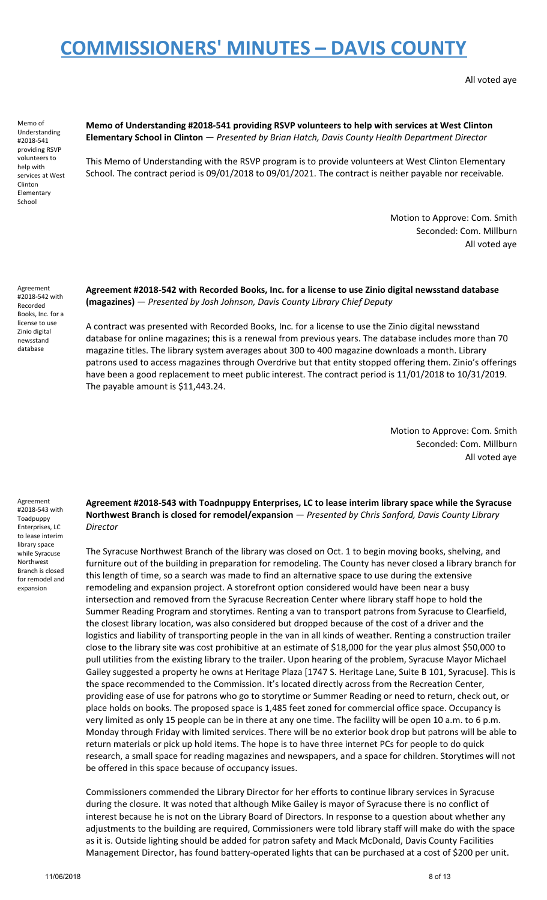All voted aye

Memo of Understanding #2018-541 providing RSVP volunteers to help with services at West Clinton Elementary School

### **Memo of Understanding #2018-541 providing RSVP volunteers to help with services at West Clinton Elementary School in Clinton** — *Presented by Brian Hatch, Davis County Health Department Director*

This Memo of Understanding with the RSVP program is to provide volunteers at West Clinton Elementary School. The contract period is 09/01/2018 to 09/01/2021. The contract is neither payable nor receivable.

> Motion to Approve: Com. Smith Seconded: Com. Millburn All voted aye

Agreement #2018-542 with Recorded Books, Inc. for a license to use Zinio digital newsstand database

### **Agreement #2018-542 with Recorded Books, Inc. for a license to use Zinio digital newsstand database (magazines)** — *Presented by Josh Johnson, Davis County Library Chief Deputy*

A contract was presented with Recorded Books, Inc. for a license to use the Zinio digital newsstand database for online magazines; this is a renewal from previous years. The database includes more than 70 magazine titles. The library system averages about 300 to 400 magazine downloads a month. Library patrons used to access magazines through Overdrive but that entity stopped offering them. Zinio's offerings have been a good replacement to meet public interest. The contract period is 11/01/2018 to 10/31/2019. The payable amount is \$11,443.24.

> Motion to Approve: Com. Smith Seconded: Com. Millburn All voted aye

Agreement #2018-543 with Toadpuppy Enterprises, LC to lease interim library space while Syracuse Northwest Branch is closed for remodel and expansion

**Agreement #2018-543 with Toadnpuppy Enterprises, LC to lease interim library space while the Syracuse Northwest Branch is closed for remodel/expansion** — *Presented by Chris Sanford, Davis County Library Director*

The Syracuse Northwest Branch of the library was closed on Oct. 1 to begin moving books, shelving, and furniture out of the building in preparation for remodeling. The County has never closed a library branch for this length of time, so a search was made to find an alternative space to use during the extensive remodeling and expansion project. A storefront option considered would have been near a busy intersection and removed from the Syracuse Recreation Center where library staff hope to hold the Summer Reading Program and storytimes. Renting a van to transport patrons from Syracuse to Clearfield, the closest library location, was also considered but dropped because of the cost of a driver and the logistics and liability of transporting people in the van in all kinds of weather. Renting a construction trailer close to the library site was cost prohibitive at an estimate of \$18,000 for the year plus almost \$50,000 to pull utilities from the existing library to the trailer. Upon hearing of the problem, Syracuse Mayor Michael Gailey suggested a property he owns at Heritage Plaza [1747 S. Heritage Lane, Suite B 101, Syracuse]. This is the space recommended to the Commission. It's located directly across from the Recreation Center, providing ease of use for patrons who go to storytime or Summer Reading or need to return, check out, or place holds on books. The proposed space is 1,485 feet zoned for commercial office space. Occupancy is very limited as only 15 people can be in there at any one time. The facility will be open 10 a.m. to 6 p.m. Monday through Friday with limited services. There will be no exterior book drop but patrons will be able to return materials or pick up hold items. The hope is to have three internet PCs for people to do quick research, a small space for reading magazines and newspapers, and a space for children. Storytimes will not be offered in this space because of occupancy issues.

Commissioners commended the Library Director for her efforts to continue library services in Syracuse during the closure. It was noted that although Mike Gailey is mayor of Syracuse there is no conflict of interest because he is not on the Library Board of Directors. In response to a question about whether any adjustments to the building are required, Commissioners were told library staff will make do with the space as it is. Outside lighting should be added for patron safety and Mack McDonald, Davis County Facilities Management Director, has found battery-operated lights that can be purchased at a cost of \$200 per unit.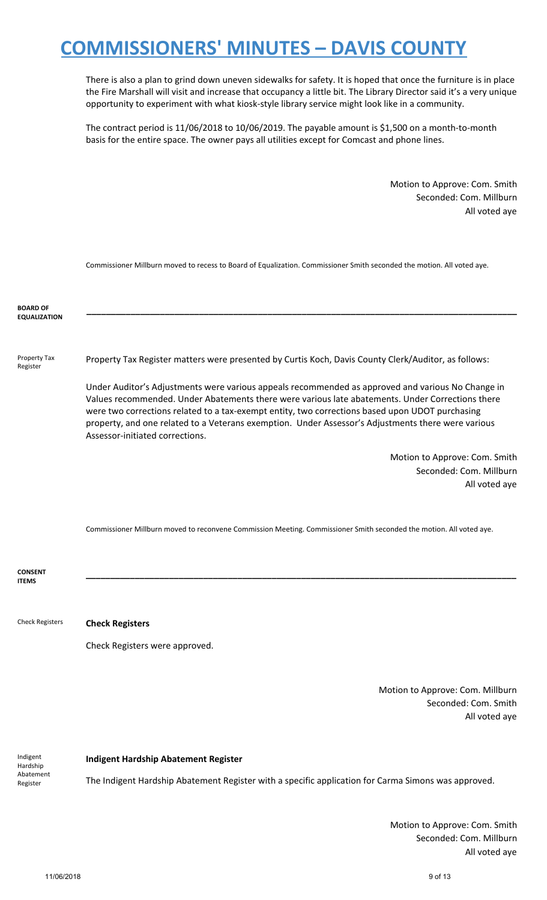There is also a plan to grind down uneven sidewalks for safety. It is hoped that once the furniture is in place the Fire Marshall will visit and increase that occupancy a little bit. The Library Director said it's a very unique opportunity to experiment with what kiosk-style library service might look like in a community.

The contract period is 11/06/2018 to 10/06/2019. The payable amount is \$1,500 on a month-to-month basis for the entire space. The owner pays all utilities except for Comcast and phone lines.

> Motion to Approve: Com. Smith Seconded: Com. Millburn All voted aye

Commissioner Millburn moved to recess to Board of Equalization. Commissioner Smith seconded the motion. All voted aye.

| <b>BOARD OF</b><br><b>EQUALIZATION</b> |                                                                                                                                                                                                                                                                                                                                                                                                                                                   |
|----------------------------------------|---------------------------------------------------------------------------------------------------------------------------------------------------------------------------------------------------------------------------------------------------------------------------------------------------------------------------------------------------------------------------------------------------------------------------------------------------|
| Property Tax<br>Register               | Property Tax Register matters were presented by Curtis Koch, Davis County Clerk/Auditor, as follows:                                                                                                                                                                                                                                                                                                                                              |
|                                        | Under Auditor's Adjustments were various appeals recommended as approved and various No Change in<br>Values recommended. Under Abatements there were various late abatements. Under Corrections there<br>were two corrections related to a tax-exempt entity, two corrections based upon UDOT purchasing<br>property, and one related to a Veterans exemption. Under Assessor's Adjustments there were various<br>Assessor-initiated corrections. |
|                                        | Motion to Approve: Com. Smith                                                                                                                                                                                                                                                                                                                                                                                                                     |
|                                        | Seconded: Com. Millburn                                                                                                                                                                                                                                                                                                                                                                                                                           |
|                                        | All voted aye                                                                                                                                                                                                                                                                                                                                                                                                                                     |
|                                        | Commissioner Millburn moved to reconvene Commission Meeting. Commissioner Smith seconded the motion. All voted aye.                                                                                                                                                                                                                                                                                                                               |
| CONSENT                                |                                                                                                                                                                                                                                                                                                                                                                                                                                                   |
| <b>ITEMS</b>                           |                                                                                                                                                                                                                                                                                                                                                                                                                                                   |
| <b>Check Registers</b>                 | <b>Check Registers</b>                                                                                                                                                                                                                                                                                                                                                                                                                            |
|                                        | Check Registers were approved.                                                                                                                                                                                                                                                                                                                                                                                                                    |
|                                        | Motion to Approve: Com. Millburn<br>Seconded: Com. Smith<br>All voted aye                                                                                                                                                                                                                                                                                                                                                                         |
| Indigent                               | <b>Indigent Hardship Abatement Register</b>                                                                                                                                                                                                                                                                                                                                                                                                       |
| Hardship<br>Abatement                  |                                                                                                                                                                                                                                                                                                                                                                                                                                                   |
| Register                               | The Indigent Hardship Abatement Register with a specific application for Carma Simons was approved.                                                                                                                                                                                                                                                                                                                                               |

Motion to Approve: Com. Smith Seconded: Com. Millburn All voted aye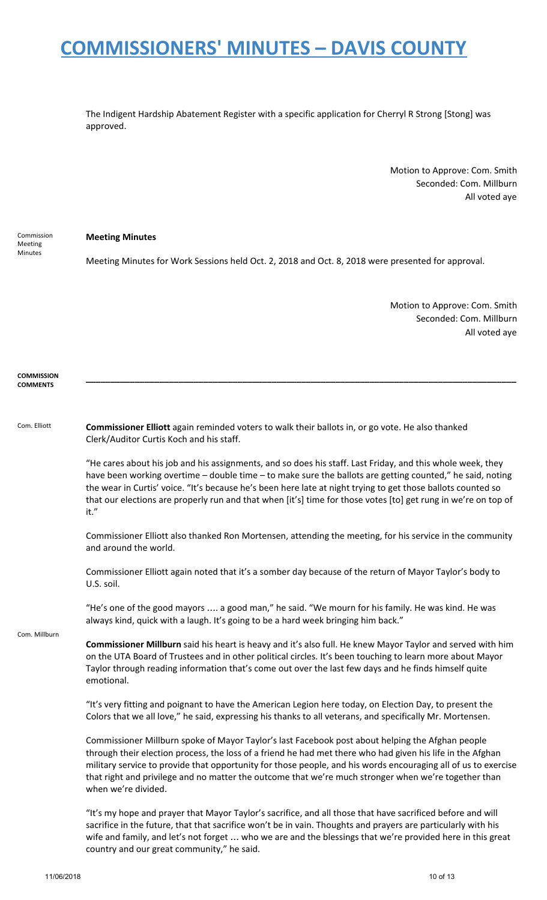The Indigent Hardship Abatement Register with a specific application for Cherryl R Strong [Stong] was approved.

> Motion to Approve: Com. Smith Seconded: Com. Millburn All voted aye

Commission Meeting Minutes

### **Meeting Minutes**

Meeting Minutes for Work Sessions held Oct. 2, 2018 and Oct. 8, 2018 were presented for approval.

Motion to Approve: Com. Smith Seconded: Com. Millburn All voted aye

#### **COMMISSION COMMENTS**

#### Com. Elliott **Commissioner Elliott** again reminded voters to walk their ballots in, or go vote. He also thanked Clerk/Auditor Curtis Koch and his staff.

"He cares about his job and his assignments, and so does his staff. Last Friday, and this whole week, they have been working overtime – double time – to make sure the ballots are getting counted," he said, noting the wear in Curtis' voice. "It's because he's been here late at night trying to get those ballots counted so that our elections are properly run and that when [it's] time for those votes [to] get rung in we're on top of it."

**\_\_\_\_\_\_\_\_\_\_\_\_\_\_\_\_\_\_\_\_\_\_\_\_\_\_\_\_\_\_\_\_\_\_\_\_\_\_\_\_\_\_\_\_\_\_\_\_\_\_\_\_\_\_\_\_\_\_\_\_\_\_\_\_\_\_\_\_\_\_\_\_\_\_\_\_\_\_\_\_\_\_\_\_\_\_\_\_**

Commissioner Elliott also thanked Ron Mortensen, attending the meeting, for his service in the community and around the world.

Commissioner Elliott again noted that it's a somber day because of the return of Mayor Taylor's body to U.S. soil.

"He's one of the good mayors …. a good man," he said. "We mourn for his family. He was kind. He was always kind, quick with a laugh. It's going to be a hard week bringing him back."

Com. Millburn

**Commissioner Millburn** said his heart is heavy and it's also full. He knew Mayor Taylor and served with him on the UTA Board of Trustees and in other political circles. It's been touching to learn more about Mayor Taylor through reading information that's come out over the last few days and he finds himself quite emotional.

"It's very fitting and poignant to have the American Legion here today, on Election Day, to present the Colors that we all love," he said, expressing his thanks to all veterans, and specifically Mr. Mortensen.

Commissioner Millburn spoke of Mayor Taylor's last Facebook post about helping the Afghan people through their election process, the loss of a friend he had met there who had given his life in the Afghan military service to provide that opportunity for those people, and his words encouraging all of us to exercise that right and privilege and no matter the outcome that we're much stronger when we're together than when we're divided.

"It's my hope and prayer that Mayor Taylor's sacrifice, and all those that have sacrificed before and will sacrifice in the future, that that sacrifice won't be in vain. Thoughts and prayers are particularly with his wife and family, and let's not forget … who we are and the blessings that we're provided here in this great country and our great community," he said.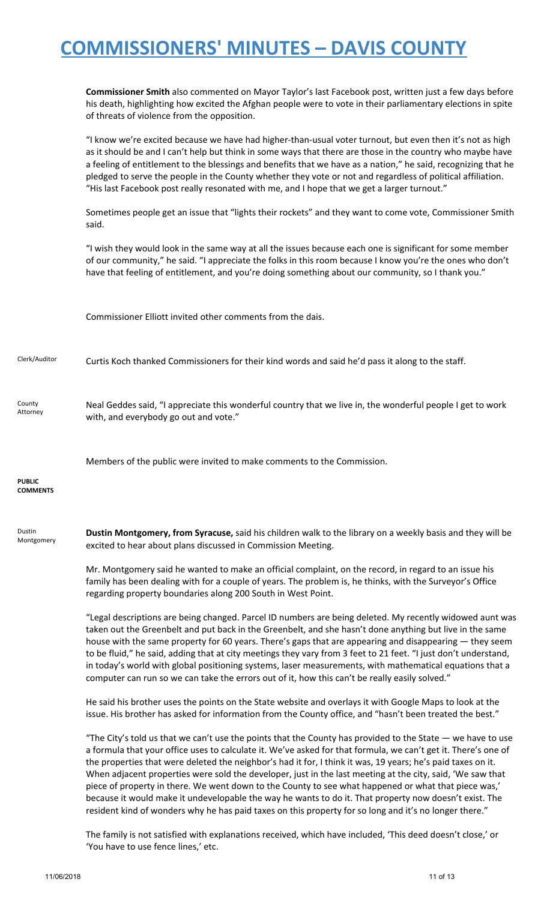**Commissioner Smith** also commented on Mayor Taylor's last Facebook post, written just a few days before his death, highlighting how excited the Afghan people were to vote in their parliamentary elections in spite of threats of violence from the opposition.

"I know we're excited because we have had higher-than-usual voter turnout, but even then it's not as high as it should be and I can't help but think in some ways that there are those in the country who maybe have a feeling of entitlement to the blessings and benefits that we have as a nation," he said, recognizing that he pledged to serve the people in the County whether they vote or not and regardless of political affiliation. "His last Facebook post really resonated with me, and I hope that we get a larger turnout."

Sometimes people get an issue that "lights their rockets" and they want to come vote, Commissioner Smith said.

"I wish they would look in the same way at all the issues because each one is significant for some member of our community," he said. "I appreciate the folks in this room because I know you're the ones who don't have that feeling of entitlement, and you're doing something about our community, so I thank you."

Commissioner Elliott invited other comments from the dais.

Clerk/Auditor Curtis Koch thanked Commissioners for their kind words and said he'd pass it along to the staff.

County Attorney

Neal Geddes said, "I appreciate this wonderful country that we live in, the wonderful people I get to work with, and everybody go out and vote."

Members of the public were invited to make comments to the Commission.

**PUBLIC COMMENTS**

Dustin Montgomery **Dustin Montgomery, from Syracuse,** said his children walk to the library on a weekly basis and they will be excited to hear about plans discussed in Commission Meeting.

> Mr. Montgomery said he wanted to make an official complaint, on the record, in regard to an issue his family has been dealing with for a couple of years. The problem is, he thinks, with the Surveyor's Office regarding property boundaries along 200 South in West Point.

"Legal descriptions are being changed. Parcel ID numbers are being deleted. My recently widowed aunt was taken out the Greenbelt and put back in the Greenbelt, and she hasn't done anything but live in the same house with the same property for 60 years. There's gaps that are appearing and disappearing — they seem to be fluid," he said, adding that at city meetings they vary from 3 feet to 21 feet. "I just don't understand, in today's world with global positioning systems, laser measurements, with mathematical equations that a computer can run so we can take the errors out of it, how this can't be really easily solved."

He said his brother uses the points on the State website and overlays it with Google Maps to look at the issue. His brother has asked for information from the County office, and "hasn't been treated the best."

"The City's told us that we can't use the points that the County has provided to the State  $-$  we have to use a formula that your office uses to calculate it. We've asked for that formula, we can't get it. There's one of the properties that were deleted the neighbor's had it for, I think it was, 19 years; he's paid taxes on it. When adjacent properties were sold the developer, just in the last meeting at the city, said, 'We saw that piece of property in there. We went down to the County to see what happened or what that piece was,' because it would make it undevelopable the way he wants to do it. That property now doesn't exist. The resident kind of wonders why he has paid taxes on this property for so long and it's no longer there."

The family is not satisfied with explanations received, which have included, 'This deed doesn't close,' or 'You have to use fence lines,' etc.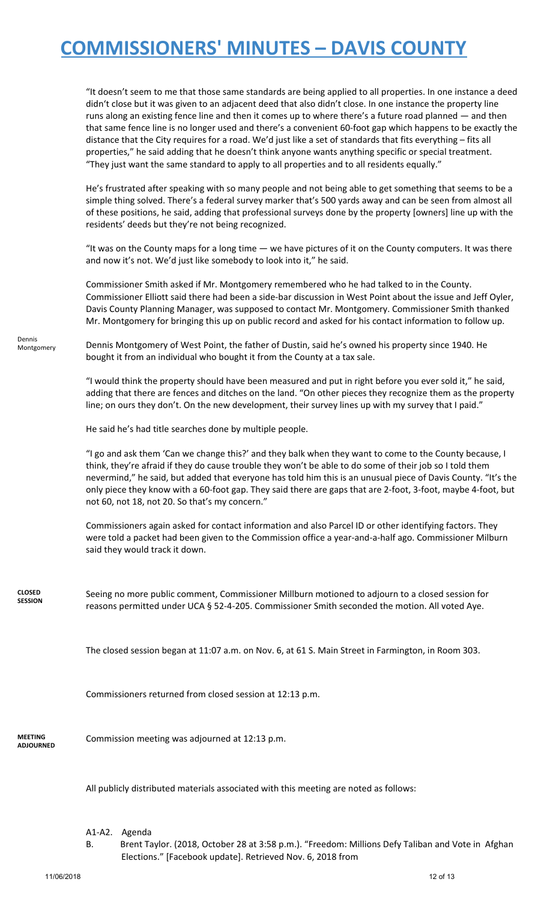"It doesn't seem to me that those same standards are being applied to all properties. In one instance a deed didn't close but it was given to an adjacent deed that also didn't close. In one instance the property line runs along an existing fence line and then it comes up to where there's a future road planned — and then that same fence line is no longer used and there's a convenient 60-foot gap which happens to be exactly the distance that the City requires for a road. We'd just like a set of standards that fits everything – fits all properties," he said adding that he doesn't think anyone wants anything specific or special treatment. "They just want the same standard to apply to all properties and to all residents equally."

He's frustrated after speaking with so many people and not being able to get something that seems to be a simple thing solved. There's a federal survey marker that's 500 yards away and can be seen from almost all of these positions, he said, adding that professional surveys done by the property [owners] line up with the residents' deeds but they're not being recognized.

"It was on the County maps for a long time — we have pictures of it on the County computers. It was there and now it's not. We'd just like somebody to look into it," he said.

Commissioner Smith asked if Mr. Montgomery remembered who he had talked to in the County. Commissioner Elliott said there had been a side-bar discussion in West Point about the issue and Jeff Oyler, Davis County Planning Manager, was supposed to contact Mr. Montgomery. Commissioner Smith thanked Mr. Montgomery for bringing this up on public record and asked for his contact information to follow up.

Dennis Montgomery Dennis Montgomery of West Point, the father of Dustin, said he's owned his property since 1940. He bought it from an individual who bought it from the County at a tax sale.

> "I would think the property should have been measured and put in right before you ever sold it," he said, adding that there are fences and ditches on the land. "On other pieces they recognize them as the property line; on ours they don't. On the new development, their survey lines up with my survey that I paid."

He said he's had title searches done by multiple people.

"I go and ask them 'Can we change this?' and they balk when they want to come to the County because, I think, they're afraid if they do cause trouble they won't be able to do some of their job so I told them nevermind," he said, but added that everyone has told him this is an unusual piece of Davis County. "It's the only piece they know with a 60-foot gap. They said there are gaps that are 2-foot, 3-foot, maybe 4-foot, but not 60, not 18, not 20. So that's my concern."

Commissioners again asked for contact information and also Parcel ID or other identifying factors. They were told a packet had been given to the Commission office a year-and-a-half ago. Commissioner Milburn said they would track it down.

**CLOSED SESSION**

Seeing no more public comment, Commissioner Millburn motioned to adjourn to a closed session for reasons permitted under UCA § 52-4-205. Commissioner Smith seconded the motion. All voted Aye.

The closed session began at 11:07 a.m. on Nov. 6, at 61 S. Main Street in Farmington, in Room 303.

Commissioners returned from closed session at 12:13 p.m.

**MEETING ADJOURNED** Commission meeting was adjourned at 12:13 p.m.

All publicly distributed materials associated with this meeting are noted as follows:

- A1-A2. Agenda
- B. Brent Taylor. (2018, October 28 at 3:58 p.m.). "Freedom: Millions Defy Taliban and Vote in Afghan Elections." [Facebook update]. Retrieved Nov. 6, 2018 from